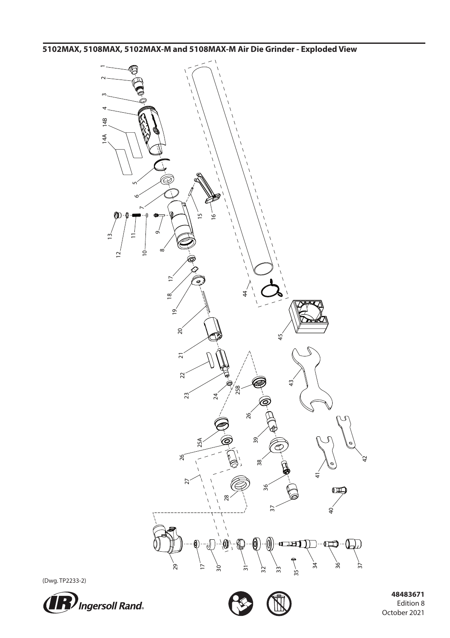**5102MAX, 5108MAX, 5102MAX-M and 5108MAX-M Air Die Grinder - Exploded View**



(Dwg. TP2233-2)





 **48483671** Edition 8 October 2021